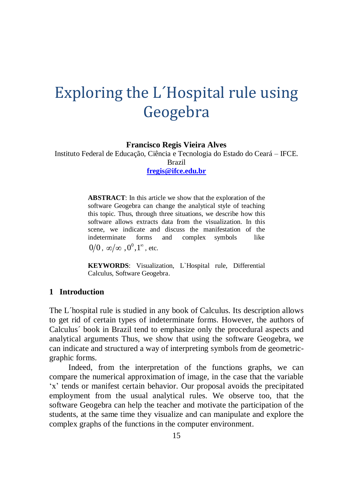# Exploring the L´Hospital rule using Geogebra

**Francisco Regis Vieira Alves**

Instituto Federal de Educação, Ciência e Tecnologia do Estado do Ceará – IFCE. Brazil **[fregis@ifce.edu.br](mailto:fregis@ifce.edu.br)**

> **ABSTRACT**: In this article we show that the exploration of the software Geogebra can change the analytical style of teaching this topic. Thus, through three situations, we describe how this software allows extracts data from the visualization. In this scene, we indicate and discuss the manifestation of the indeterminate forms and complex symbols like  $0/0$ ,  $\infty/\infty$  ,  $0^0, 1^\infty$ , etc.

> **KEYWORDS**: Visualization, L`Hospital rule, Differential Calculus, Software Geogebra.

# **1 Introduction**

The L´hospital rule is studied in any book of Calculus. Its description allows to get rid of certain types of indeterminate forms. However, the authors of Calculus´ book in Brazil tend to emphasize only the procedural aspects and analytical arguments Thus, we show that using the software Geogebra, we can indicate and structured a way of interpreting symbols from de geometricgraphic forms.

Indeed, from the interpretation of the functions graphs, we can compare the numerical approximation of image, in the case that the variable 'x' tends or manifest certain behavior. Our proposal avoids the precipitated employment from the usual analytical rules. We observe too, that the software Geogebra can help the teacher and motivate the participation of the students, at the same time they visualize and can manipulate and explore the complex graphs of the functions in the computer environment.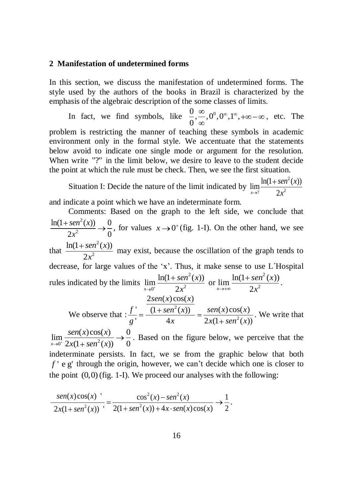### **2 Manifestation of undetermined forms**

In this section, we discuss the manifestation of undetermined forms. The style used by the authors of the books in Brazil is characterized by the emphasis of the algebraic description of the some classes of limits.

In fact, we find symbols, like  $\frac{0}{0}, \frac{\infty}{\infty}, 0^0, 0^\infty, 1^\infty$ , , etc. The problem is restricting the manner of teaching these symbols in academic environment only in the formal style. We accentuate that the statements below avoid to indicate one single mode or argument for the resolution. When write "?" in the limit below, we desire to leave to the student decide the point at which the rule must be check. Then, we see the first situation.

Situation I: Decide the nature of the limit indicated by 2  $\lim_{x\to 2} \frac{\ln(1 + \text{sen}^2(x))}{2x^2}$  $\rightarrow$ ? 2  $\text{sen}^2(x)$ *x* and indicate a point which we have an indeterminate form.

Comments: Based on the graph to the left side, we conclude that 2 2  $ln(1 + sen^2(x))$  0  $\frac{2x^2}{2}$   $\rightarrow$   $\frac{1}{0}$  $\textit{sen}^2(x)$ *x* , for values  $x \rightarrow 0^+$  (fig. 1-I). On the other hand, we see that 2 2  $ln(1 + sen^2(x))$ 2  $sen^2(x)$ *x* may exist, because the oscillation of the graph tends to decrease, for large values of the 'x'. Thus, it make sense to use L´Hospital rules indicated by the limits 2  $\lim_{x\to 0^+} \frac{\ln(1 + \textit{sen}^2(x))}{2x^2}$  $\lim_{x\to 0^+}$  2  $\textit{sen}^2(x)$ *x* or 2  $\lim_{x\to\infty}\frac{\ln(1+sen^2(x))}{2x^2}$  $\lim_{x\to+\infty}$  2  $\textit{sen}^2(x)$ *x* . We observe that : 2 2  $\frac{1}{2} \sec^{x} 2x^2$ <br>  $\frac{2 \sec^{x} 2 \csc^{2}(x)}{2 \sec^{2}(x)}$  $\frac{2\text{sen}(x)\cos(x)}{1 + \text{sen}^2(x)}$  =  $\frac{\text{sen}(x)\cos(x)}{1 + \text{sen}^2(x)}$  =  $\frac{\text{sen}(x)\cos(x)}{1 + \text{sen}^2(x)}$  $\frac{1}{x} = \frac{(1 + \text{sen}^2(x))}{4x} = \frac{\text{sen}(x)\cos(x)}{2x(1 + \text{sen}^2(x))}$  $\frac{1}{x}$ <br>*sen*(x) cos(x)  $f' = \frac{2\text{sen}(x)\cos(x)}{(1 + \text{sen}^2(x))} = \frac{\text{sen}(x)\cos(x)}{x}$  $\frac{f'}{g'} = \frac{(1 + \text{sen}^2(x))}{4x} = \frac{\text{sen}(x)\cos(x)}{2x(1 + \text{sen}^2(x))}$ . We write that  $\lim_{x \to 0^+} \frac{sen(x)cos(x)}{2x(1 + sen^2(x))} \to 0$  $\lim_{x\to 0^+} \frac{x}{2x(1 + \text{sen}^2(x))} \to 0$  $sen(x)cos(x)$  $\frac{\partial P(x,y)\partial O(x)}{\partial x(1 + \sin^2(x))}$   $\rightarrow \frac{0}{0}$ . Based on the figure below, we perceive that the indeterminate persists. In fact, we se from the graphic below that both *f* ' e g' through the origin, however, we can't decide which one is closer to

the point (0,0) (fig. 1-I). We proceed our analyses with the following:  
\n
$$
\frac{sen(x)cos(x)}{2x(1+sen^2(x))} = \frac{cos^2(x) - sen^2(x)}{2(1+sen^2(x)) + 4x \cdot sen(x)cos(x)} \rightarrow \frac{1}{2}.
$$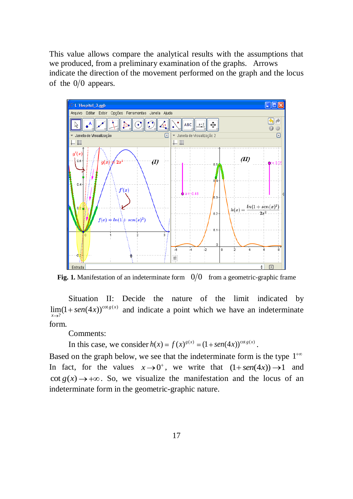This value allows compare the analytical results with the assumptions that we produced, from a preliminary examination of the graphs. Arrows indicate the direction of the movement performed on the graph and the locus of the  $0/0$  appears.



**Fig. 1.** Manifestation of an indeterminate form  $0/0$  from a geometric-graphic frame

Situation II: Decide the nature of the limit indicated by  $\lim_{x \to a} (1 + \text{sen}(4x))^{\cot g(x)}$  and indicate a point which we have an indeterminate ? *x* form.

Comments:

Comments:<br>In this case, we consider  $h(x) = f(x)^{g(x)} = (1 + \text{sen}(4x))^{\cot g(x)}$ .

Based on the graph below, we see that the indeterminate form is the type 1 In fact, for the values  $x \rightarrow 0^+$ , we write that  $(1 + \text{sen}(4x)) \rightarrow 1$  and  $\cot g(x) \rightarrow +\infty$ . So, we visualize the manifestation and the locus of an indeterminate form in the geometric-graphic nature.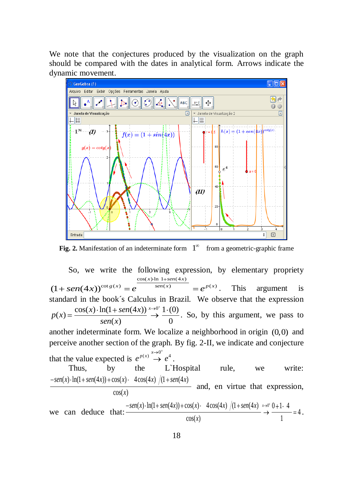We note that the conjectures produced by the visualization on the graph should be compared with the dates in analytical form. Arrows indicate the dynamic movement.



**Fig. 2.** Manifestation of an indeterminate form  $1^{\infty}$  from a geometric-graphic frame

So, we write the following expression, by elementary propriety following  $\exp$ <br> $\frac{\cos(x) \cdot \ln 1 + \sin(4x)}{2}$ So, we write the following expression, by elementary propriety<br>  $(1 + \text{sen}(4x))^{\cot g(x)} = e^{\frac{\cos(x) \cdot \ln 1 + \text{sen}(4x)}{\text{sen}(x)}} = e^{p(x)}$ . This argument is standard in the book´s Calculus in Brazil. We observe that the expression andard in the book's Calculus in Bra<br>  $(x) = \frac{\cos(x) \cdot \ln(1 + \sin(4x))}{\cos(x)} \stackrel{x \to 0^+}{\to} \frac{1 \cdot (0)}{0}$  $\frac{+ \text{sen}(4x)}{(x)} \stackrel{x \to 0^+}{\to} \frac{1 \cdot (0)}{0}$ *<sup>x</sup> x sen x p x*  $\frac{\ln(1 + \text{sen}(4x))}{\text{sen}(x)} \stackrel{x \to 0^+}{\to} \frac{1 \cdot (0)}{0}$ . So, by this argument, we pass to another indeterminate form. We localize a neighborhood in origin (0,0) and perceive another section of the graph. By fig. 2-II, we indicate and conjecture that the value expected is  $e^{p(x)} \stackrel{x \to 0^+}{\to} e^4$ . Thus, by the L`Hospital rule, we write: Thus, by the L`Hosp<br>  $(x) \cdot \ln(1 + \text{sen}(4x)) + \cos(x) \cdot 4\cos(4x) / (1 + \text{sen}(4x))$  $\frac{\cos(x)}{\cos(x)}$ Thus, by the L`Hosp<br>  $\text{gen}(x) \cdot \ln(1 + \text{sen}(4x)) + \cos(x) \cdot 4\cos(4x) / (1 + \text{sen}(4x))$ 

$$
\begin{array}{c}\n\hline\n\text{cos}(x) & \text{and, en virtue that expression,} \\
\text{cos}(x) & \text{f(x)} & \text{f(x)} \\
\hline\n\text{cos}(x) & \text{f(x)} & \text{f(x)} \\
\hline\n\text{cos}(x) & \text{f(x)} & \text{f(x)} \\
\hline\n\text{cos}(x) & \text{f(x)} & \text{f(x)} \\
\hline\n\end{array}
$$

 $cos(x)$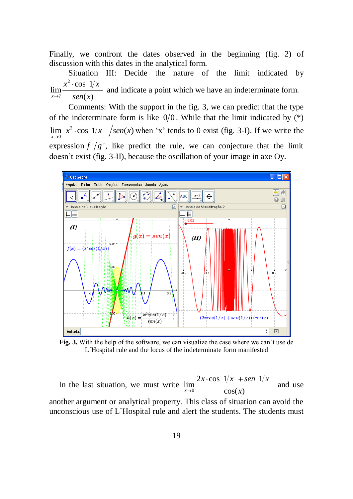Finally, we confront the dates observed in the beginning (fig. 2) of discussion with this dates in the analytical form.

Situation III: Decide the nature of the limit indicated by 2 ?  $\cos 1$ lim  $lim_{x\to?}$   $sen(x)$  $x^2$ ·cos  $1/x$  $\frac{\partial}{\partial x}$  and indicate a point which we have an indeterminate form.

Comments: With the support in the fig. 3, we can predict that the type of the indeterminate form is like  $0/0$ . While that the limit indicated by  $(*)$ 2  $\lim_{x\to 0} x^2 \cdot \cos 1/x$  /sen(x) when 'x' tends to 0 exist (fig. 3-I). If we write the expression  $f'/g'$ , like predict the rule, we can conjecture that the limit doesn't exist (fig. 3-II), because the oscillation of your image in axe Oy.



**Fig. 3.** With the help of the software, we can visualize the case where we can't use de L´Hospital rule and the locus of the indeterminate form manifested

In the last situation, we must write  $\lim_{x\to 0}$  $\lim_{x\to 0} \frac{2x \cdot \cos \frac{1}{x} + \sin \frac{1}{x}}{\cos(x)}$  $x \cdot \cos \frac{1}{x} + \sin \frac{1}{x}$ *x* and use another argument or analytical property. This class of situation can avoid the

unconscious use of L`Hospital rule and alert the students. The students must